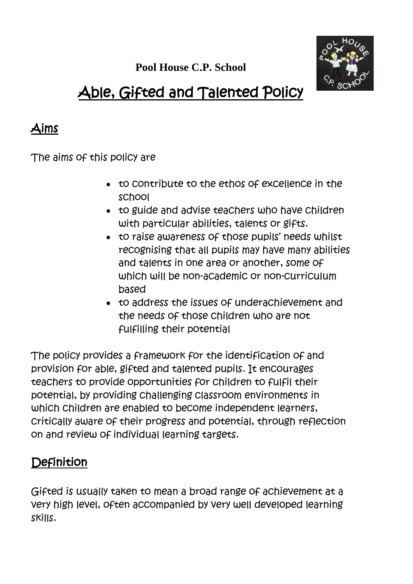**Pool House C.P. School**



# Able, Gifted and Talented Policy

## Aims

The aims of this policy are

- to contribute to the ethos of excellence in the school
- to guide and advise teachers who have children with particular abilities, talents or gifts.
- to raise awareness of those pupils' needs whilst recognising that all pupils may have many abilities and talents in one area or another, some of which will be non-academic or non-curriculum based
- to address the issues of underachievement and the needs of those children who are not fulfilling their potential

The policy provides a framework for the identification of and provision for able, gifted and talented pupils. It encourages teachers to provide opportunities for children to fulfil their potential, by providing challenging classroom environments in which children are enabled to become independent learners, critically aware of their progress and potential, through reflection on and review of individual learning targets.

# **Definition**

Gifted is usually taken to mean a broad range of achievement at a very high level, often accompanied by very well developed learning skills.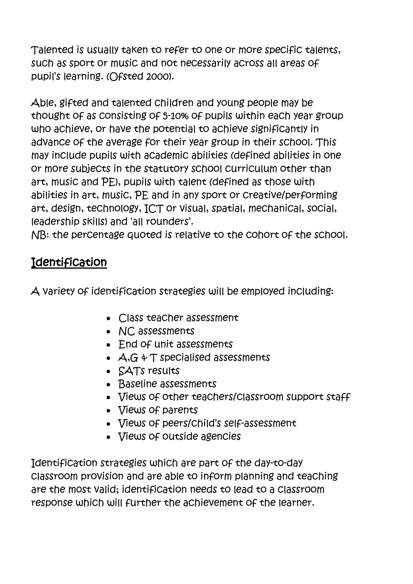Talented is usually taken to refer to one or more specific talents, such as sport or music and not necessarily across all areas of pupil's learning. (Ofsted 2000).

Able, gifted and talented children and young people may be thought of as consisting of 5-10% of pupils within each year group who achieve, or have the potential to achieve significantly in advance of the average for their year group in their school. This may include pupils with academic abilities (defined abilities in one or more subjects in the statutory school curriculum other than art, music and PE), pupils with talent (defined as those with abilities in art, music, PE and in any sport or creative/performing art, design, technology, ICT or visual, spatial, mechanical, social, leadership skills) and 'all rounders'.

NB: the percentage quoted is relative to the cohort of the school.

#### **Identification**

A variety of identification strategies will be employed including:

- Class teacher assessment
- NC assessments
- End of unit assessments
- $\bullet$   $\forall$ ,  $\forall$ ,  $\forall$   $\forall$   $\forall$  specialised assessments
- SATs results
- Baseline assessments
- Views of other teachers/classroom support staff
- Views of parents
- Views of peers/child's self-assessment
- Views of outside agencies

Identification strategies which are part of the day-to-day classroom provision and are able to inform planning and teaching are the most valid; identification needs to lead to a classroom response which will further the achievement of the learner.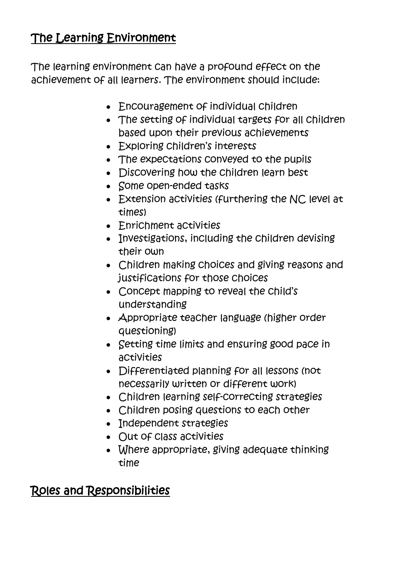## The Learning Environment

The learning environment can have a profound effect on the achievement of all learners. The environment should include:

- Encouragement of individual children
- The setting of individual targets for all children based upon their previous achievements
- Exploring children's interests
- The expectations conveyed to the pupils
- Discovering how the children learn best
- Some open-ended tasks
- Extension activities (furthering the NC level at times)
- Enrichment activities
- Investigations, including the children devising their own
- Children making choices and giving reasons and justifications for those choices
- Concept mapping to reveal the child's understanding
- Appropriate teacher language (higher order questioning)
- Setting time limits and ensuring good pace in activities
- Differentiated planning for all lessons (not necessarily written or different work)
- Children learning self-correcting strategies
- Children posing questions to each other
- Independent strategies
- Out of Class activities
- Where appropriate, giving adequate thinking time

# Roles and Responsibilities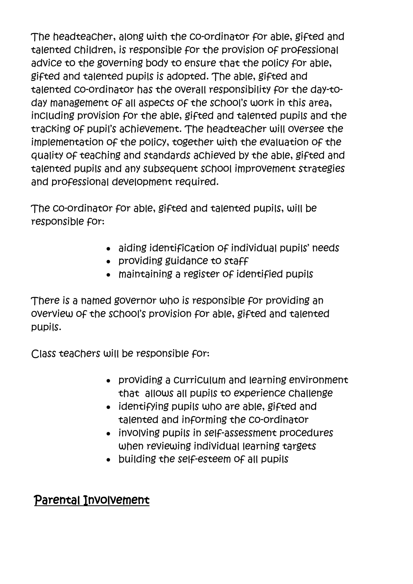The headteacher, along with the co-ordinator for able, gifted and talented children, is responsible for the provision of professional advice to the governing body to ensure that the policy for able, gifted and talented pupils is adopted. The able, gifted and talented co-ordinator has the overall responsibility for the day-today management of all aspects of the school's work in this area, including provision for the able, gifted and talented pupils and the tracking of pupil's achievement. The headteacher will oversee the implementation of the policy, together with the evaluation of the quality of teaching and standards achieved by the able, gifted and talented pupils and any subsequent school improvement strategies and professional development required.

The co-ordinator for able, gifted and talented pupils, will be responsible for:

- aiding identification of individual pupils' needs
- providing guidance to staff
- maintaining a register of identified pupils

There is a named governor who is responsible for providing an overview of the school's provision for able, gifted and talented pupils.

Class teachers will be responsible for:

- providing a curriculum and learning environment that allows all pupils to experience challenge
- identifying pupils who are able, gifted and talented and informing the co-ordinator
- involving pupils in self-assessment procedures when reviewing individual learning targets
- building the self-esteem of all pupils

### Parental Involvement